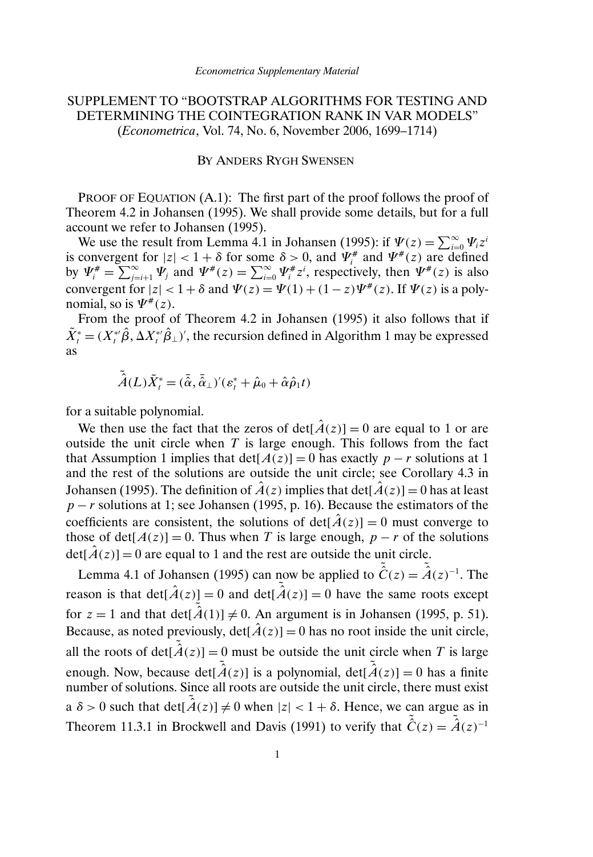# SUPPLEMENT TO "BOOTSTRAP ALGORITHMS FOR TESTING AND DETERMINING THE COINTEGRATION RANK IN VAR MODELS" (*Econometrica*, Vol. 74, No. 6, November 2006, 1699–1714)

#### BY ANDERS RYGH SWENSEN

PROOF OF EQUATION  $(A.1)$ : The first part of the proof follows the proof of Theorem 4.2 in Johansen (1995). We shall provide some details, but for a full account we refer to Johansen (1995).

We use the result from Lemma 4.1 in Johansen (1995): if  $\Psi(z) = \sum_{i=0}^{\infty} \Psi_i z^i$ is convergent for  $|z| < 1 + \delta$  for some  $\delta > 0$ , and  $\Psi_i^*$  and  $\Psi_i^*(z)$  are defined by  $\Psi_i^* = \sum_{j=i+1}^{\infty} \Psi_j$  and  $\Psi^*(z) = \sum_{i=0}^{\infty} \Psi_i^* z^i$ , respectively, then  $\Psi^*(z)$  is also convergent for  $|z| < 1 + \delta$  and  $\Psi(z) = \Psi(1) + (1 - z)\Psi^*(z)$ . If  $\Psi(z)$  is a polynomial, so is  $\Psi^*(z)$ .

From the proof of Theorem 4.2 in Johansen (1995) it also follows that if  $\tilde{X}_t^* = (X_t^{*t} \hat{\beta}, \Delta X_t^{*t} \hat{\beta}_\perp)'$ , the recursion defined in Algorithm 1 may be expressed as

$$
\tilde{\hat{A}}(L)\tilde{X}_{t}^{*}=(\tilde{\hat{\alpha}},\tilde{\hat{\alpha}}_{\perp})'(\varepsilon_{t}^{*}+\hat{\mu}_{0}+\hat{\alpha}\hat{\rho}_{1}t)
$$

for a suitable polynomial.

We then use the fact that the zeros of  $det[\hat{A}(z)] = 0$  are equal to 1 or are outside the unit circle when  $T$  is large enough. This follows from the fact that Assumption 1 implies that det[ $A(z)$ ] = 0 has exactly p − r solutions at 1 and the rest of the solutions are outside the unit circle; see Corollary 4.3 in Johansen (1995). The definition of  $\hat{A}(z)$  implies that det[ $\hat{A}(z)$ ] = 0 has at least  $p - r$  solutions at 1; see Johansen (1995, p. 16). Because the estimators of the coefficients are consistent, the solutions of det $[\hat{A}(z)] = 0$  must converge to those of det[ $A(z)$ ] = 0. Thus when T is large enough, p – r of the solutions  $det[\hat{A}(z)] = 0$  are equal to 1 and the rest are outside the unit circle.

Lemma 4.1 of Johansen (1995) can now be applied to  $\tilde{C}(z) = \tilde{A}(z)^{-1}$ . The reason is that  $det[\hat{A}(z)] = 0$  and  $det[\hat{A}(z)] = 0$  have the same roots except for  $z = 1$  and that det $[\tilde{A}(1)] \neq 0$ . An argument is in Johansen (1995, p. 51). Because, as noted previously,  $det[\hat{A}(z)] = 0$  has no root inside the unit circle, all the roots of det[ $\tilde{A}(z)$ ] = 0 must be outside the unit circle when T is large enough. Now, because det $[\tilde{A}(z)]$  is a polynomial, det $[\tilde{A}(z)] = 0$  has a finite number of solutions. Since all roots are outside the unit circle, there must exist a  $\delta > 0$  such that  $\det[\tilde{A}(z)] \neq 0$  when  $|z| < 1 + \delta$ . Hence, we can argue as in Theorem 11.3.1 in Brockwell and Davis (1991) to verify that  $\tilde{C}(z) = \tilde{A}(z)^{-1}$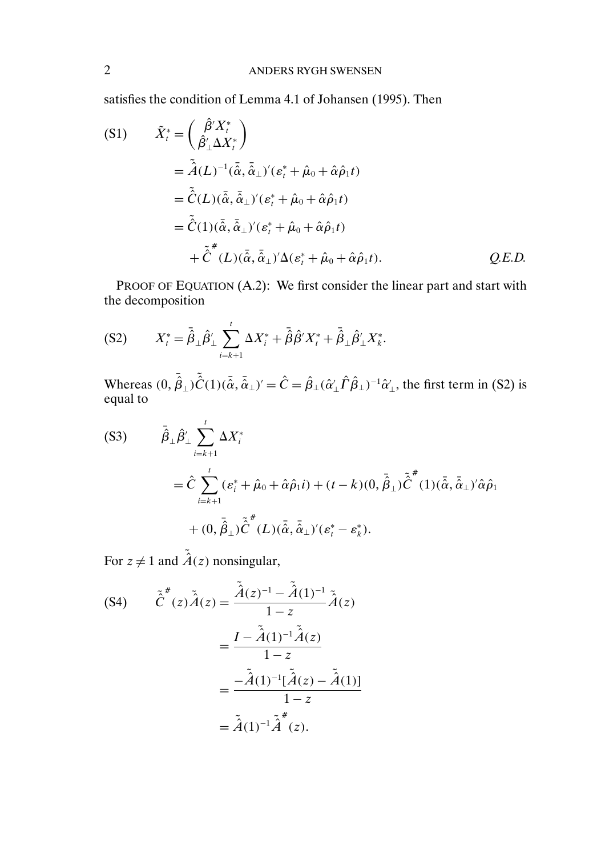satisfies the condition of Lemma 4.1 of Johansen (1995). Then

$$
\begin{aligned}\n\text{(S1)} \qquad & \tilde{X}_t^* = \left(\frac{\hat{\beta}' X_t^*}{\hat{\beta}'_{\perp} \Delta X_t^*}\right) \\
&= \tilde{\hat{A}}(L)^{-1} (\bar{\hat{\alpha}}, \bar{\hat{\alpha}}_{\perp})' (\varepsilon_t^* + \hat{\mu}_0 + \hat{\alpha} \hat{\rho}_1 t) \\
&= \tilde{\hat{C}}(L) (\bar{\hat{\alpha}}, \bar{\hat{\alpha}}_{\perp})' (\varepsilon_t^* + \hat{\mu}_0 + \hat{\alpha} \hat{\rho}_1 t) \\
&= \tilde{\hat{C}}(1) (\bar{\hat{\alpha}}, \bar{\hat{\alpha}}_{\perp})' (\varepsilon_t^* + \hat{\mu}_0 + \hat{\alpha} \hat{\rho}_1 t) \\
&+ \tilde{\hat{C}}^*(L) (\bar{\hat{\alpha}}, \bar{\hat{\alpha}}_{\perp})' \Delta (\varepsilon_t^* + \hat{\mu}_0 + \hat{\alpha} \hat{\rho}_1 t).\n\end{aligned}
$$
\n
$$
\begin{aligned}\n& Q.E.D.\n\end{aligned}
$$

PROOF OF EQUATION (A.2): We first consider the linear part and start with the decomposition

(S2) 
$$
X_t^* = \bar{\hat{\beta}}_{\perp} \hat{\beta}'_{\perp} \sum_{i=k+1}^t \Delta X_i^* + \bar{\hat{\beta}} \hat{\beta}' X_t^* + \bar{\hat{\beta}}_{\perp} \hat{\beta}'_{\perp} X_t^*.
$$

Whereas  $(0, \hat{\vec{\beta}}_\perp)\tilde{\hat{C}}(1)(\tilde{\vec{\alpha}}, \tilde{\vec{\alpha}}_\perp)' = \hat{C} = \hat{\beta}_\perp(\hat{\alpha}'_\perp \hat{\Gamma} \hat{\beta}_\perp)^{-1} \hat{\alpha}'_\perp$ , the first term in (S2) is equal to

$$
(S3) \qquad \bar{\hat{\beta}}_{\perp} \hat{\beta}'_{\perp} \sum_{i=k+1}^{t} \Delta X_i^*
$$
  
=  $\hat{C} \sum_{i=k+1}^{t} (\varepsilon_i^* + \hat{\mu}_0 + \hat{\alpha} \hat{\rho}_1 i) + (t - k)(0, \bar{\hat{\beta}}_{\perp}) \tilde{\hat{C}}^* (1) (\bar{\hat{\alpha}}, \bar{\hat{\alpha}}_{\perp})' \hat{\alpha} \hat{\rho}_1$   
+  $(0, \bar{\hat{\beta}}_{\perp}) \tilde{\hat{C}}^* (L) (\bar{\hat{\alpha}}, \bar{\hat{\alpha}}_{\perp})' (\varepsilon_i^* - \varepsilon_k^*).$ 

For  $z \neq 1$  and  $\tilde{A}(z)$  nonsingular,

(84) 
$$
\tilde{C}^* (z) \tilde{A}(z) = \frac{\tilde{A}(z)^{-1} - \tilde{A}(1)^{-1}}{1 - z} \tilde{A}(z)
$$

$$
= \frac{I - \tilde{A}(1)^{-1} \tilde{A}(z)}{1 - z}
$$

$$
= \frac{-\tilde{A}(1)^{-1} [\tilde{A}(z) - \tilde{A}(1)]}{1 - z}
$$

$$
= \tilde{A}(1)^{-1} \tilde{A}^* (z).
$$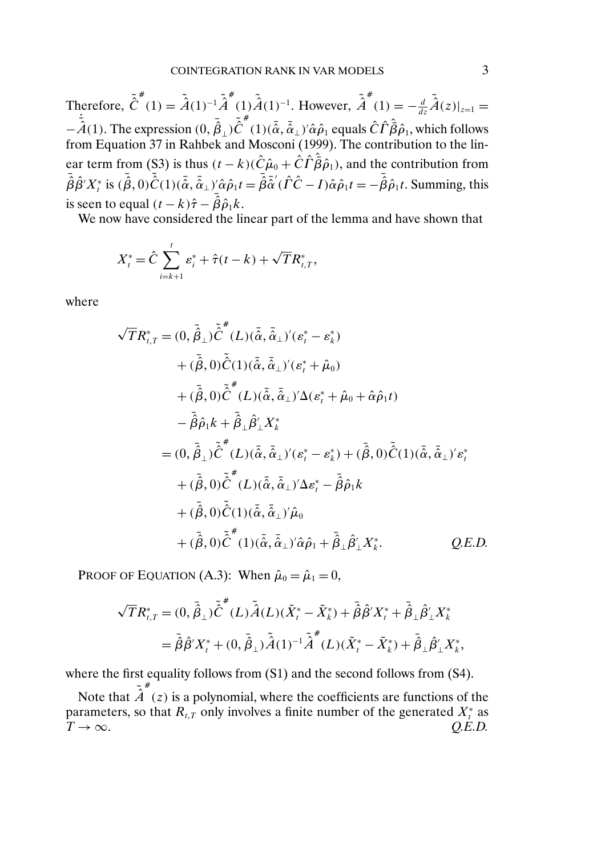Therefore,  $\tilde{\hat{C}}^*(1) = \tilde{\hat{A}}(1)^{-1}\tilde{\hat{A}}^*(1)\tilde{\hat{A}}(1)^{-1}$ . However,  $\tilde{\hat{A}}^*(1) = -\frac{d}{dz}\tilde{\hat{A}}(z)|_{z=1} =$  $-\tilde{A}(1)$ . The expression  $(0, \vec{\hat{\beta}}_{\perp})\tilde{C}^*(1)(\bar{\hat{\alpha}}, \bar{\hat{\alpha}}_{\perp})'\hat{\alpha}\hat{\rho}_1$  equals  $\hat{C}\hat{\Gamma}\hat{\hat{\beta}}\hat{\rho}_1$ , which follows from Equation 37 in Rahbek and Mosconi (1999). The contribution to the linear term from (S3) is thus  $(t - k)(\hat{C}\hat{\mu}_0 + \hat{C}\hat{\Gamma}\hat{\bar{\beta}}\hat{\rho}_1)$ , and the contribution from  $\bar{\hat{\beta}}\hat{\beta}'X_i^*$  is  $(\bar{\hat{\beta}},0)\tilde{\hat{C}}(1)(\bar{\hat{\alpha}},\bar{\hat{\alpha}}_{\perp})'\hat{\alpha}\hat{\rho}_1t = \bar{\hat{\beta}}\tilde{\hat{\alpha}}'(\hat{\Gamma}\hat{C}-I)\hat{\alpha}\hat{\rho}_1t = -\bar{\hat{\beta}}\hat{\rho}_1t$ . Summing, this is seen to equal  $(t - k)\hat{\tau} - \bar{\hat{\beta}}\hat{\rho}_1 k$ .

We now have considered the linear part of the lemma and have shown that

$$
X_t^* = \hat{C} \sum_{i=k+1}^t \varepsilon_i^* + \hat{\tau}(t-k) + \sqrt{T} R_{t,T}^*,
$$

where

$$
\begin{split}\n&\sqrt{T}R_{t,T}^{*}=(0,\bar{\hat{\beta}}_{\perp})\tilde{\hat{C}}^{*}(L)(\bar{\hat{\alpha}},\bar{\hat{\alpha}}_{\perp})'(s_{t}^{*}-s_{k}^{*})\\
&+\left(\bar{\hat{\beta}},0\right)\tilde{\hat{C}}(1)(\bar{\hat{\alpha}},\bar{\hat{\alpha}}_{\perp})'(s_{t}^{*}+\hat{\mu}_{0})\\
&+\left(\bar{\hat{\beta}},0\right)\tilde{\hat{C}}^{*}(L)(\bar{\hat{\alpha}},\bar{\hat{\alpha}}_{\perp})'\Delta(s_{t}^{*}+\hat{\mu}_{0}+\hat{\alpha}\hat{\rho}_{1}t)\\
&-\bar{\hat{\beta}}\hat{\rho}_{1}k+\bar{\hat{\beta}}_{\perp}\hat{\beta}_{\perp}^{\prime}X_{k}^{*}\\
&=(0,\bar{\hat{\beta}}_{\perp})\tilde{\hat{C}}^{*}(L)(\bar{\hat{\alpha}},\bar{\hat{\alpha}}_{\perp})^{\prime}(s_{t}^{*}-s_{k}^{*})+(\bar{\hat{\beta}},0)\tilde{\hat{C}}(1)(\bar{\hat{\alpha}},\bar{\hat{\alpha}}_{\perp})^{\prime}s_{t}^{*}\\
&+\left(\bar{\hat{\beta}},0\right)\tilde{\hat{C}}^{*}(L)(\bar{\hat{\alpha}},\bar{\hat{\alpha}}_{\perp})^{\prime}\Delta s_{t}^{*}-\bar{\hat{\beta}}\hat{\rho}_{1}k\\
&+\left(\bar{\hat{\beta}},0\right)\tilde{\hat{C}}(1)(\bar{\hat{\alpha}},\bar{\hat{\alpha}}_{\perp})^{\prime}\hat{\mu}_{0}\\
&+\left(\bar{\hat{\beta}},0\right)\tilde{\hat{C}}^{*}(1)(\bar{\hat{\alpha}},\bar{\hat{\alpha}}_{\perp})^{\prime}\hat{\alpha}\hat{\rho}_{1}+\bar{\hat{\beta}}_{\perp}\hat{\beta}_{\perp}^{\prime}X_{k}^{*}.\n\end{split}
$$

PROOF OF EQUATION (A.3): When  $\hat{\mu}_0 = \hat{\mu}_1 = 0$ ,

$$
\sqrt{T}R_{t,T}^{*} = (0, \bar{\hat{\beta}}_{\perp})\tilde{\hat{C}}^{*}(L)\tilde{\hat{A}}(L)(\tilde{X}_{t}^{*} - \tilde{X}_{k}^{*}) + \bar{\hat{\beta}}\hat{\beta}'X_{t}^{*} + \bar{\hat{\beta}}_{\perp}\hat{\beta}'_{\perp}X_{k}^{*}
$$
  
=  $\bar{\hat{\beta}}\hat{\beta}'X_{t}^{*} + (0, \bar{\hat{\beta}}_{\perp})\tilde{\hat{A}}(1)^{-1}\tilde{\hat{A}}^{*}(L)(\tilde{X}_{t}^{*} - \tilde{X}_{k}^{*}) + \bar{\hat{\beta}}_{\perp}\hat{\beta}'_{\perp}X_{k}^{*},$ 

where the first equality follows from  $(S1)$  and the second follows from  $(S4)$ .

Note that  $\tilde{\vec{A}}^*(z)$  is a polynomial, where the coefficients are functions of the parameters, so that  $R_{t,T}$  only involves a finite number of the generated  $X_t^*$  as  $T \to \infty$ .  $Q.E.D.$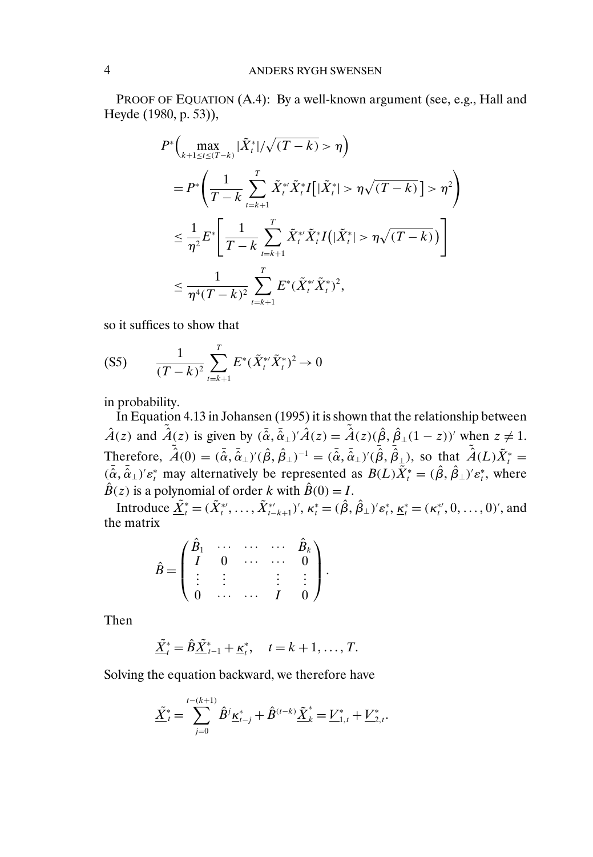PROOF OF EQUATION (A.4): By a well-known argument (see, e.g., Hall and Heyde (1980, p. 53)),

$$
P^*\left(\max_{k+1 \leq t \leq (T-k)} |\tilde{X}_t^*| / \sqrt{(T-k)} > \eta\right)
$$
  
\n
$$
= P^*\left(\frac{1}{T-k} \sum_{t=k+1}^T \tilde{X}_t^* \tilde{X}_t^* I[|\tilde{X}_t^*| > \eta \sqrt{(T-k)}] > \eta^2\right)
$$
  
\n
$$
\leq \frac{1}{\eta^2} E^*\left[\frac{1}{T-k} \sum_{t=k+1}^T \tilde{X}_t^* \tilde{X}_t^* I(|\tilde{X}_t^*| > \eta \sqrt{(T-k)})\right]
$$
  
\n
$$
\leq \frac{1}{\eta^4 (T-k)^2} \sum_{t=k+1}^T E^*(\tilde{X}_t^* \tilde{X}_t^*)^2,
$$

so it suffices to show that

$$
(S5) \qquad \frac{1}{(T-k)^2} \sum_{t=k+1}^{T} E^*(\tilde{X}_t^* \tilde{X}_t^*)^2 \to 0
$$

in probability.

In Equation 4.13 in Johansen (1995) it is shown that the relationship between  $\hat{A}(z)$  and  $\tilde{\hat{A}}(z)$  is given by  $(\bar{\hat{\alpha}}, \bar{\hat{\alpha}}_{\perp})' \hat{A}(z) = \tilde{\hat{A}}(z)(\hat{\beta}, \hat{\beta}_{\perp}(1-z))'$  when  $z \neq 1$ . Therefore,  $\tilde{\hat{A}}(0) = (\tilde{\alpha}, \tilde{\alpha}_{\perp})'(\hat{\beta}, \hat{\beta}_{\perp})^{-1} = (\tilde{\alpha}, \tilde{\alpha}_{\perp})'(\tilde{\beta}, \tilde{\beta}_{\perp})$ , so that  $\tilde{\hat{A}}(L)\tilde{X}^*_t =$  $({\tilde{\alpha}}, {\tilde{\alpha}}_{\perp})' \varepsilon_t^*$  may alternatively be represented as  $B(L) \overline{X}_t^* = ({\hat{\beta}}, {\hat{\beta}}_{\perp})' \varepsilon_t^*$ , where  $\hat{B}(z)$  is a polynomial of order k with  $\hat{B}(0) = I$ .

Introduce  $\underline{\tilde{X}}^*_t = (\tilde{X}^{*'}_t, \dots, \tilde{X}^{*'}_{t-k+1}), \ \kappa^*_t = (\hat{\beta}, \hat{\beta}_{\perp})' \varepsilon^*_t, \ \underline{\kappa}^*_t = (\kappa^*_{t}, 0, \dots, 0),$  and the matrix

$$
\hat{B} = \begin{pmatrix}\n\hat{B}_1 & \cdots & \cdots & \cdots & \hat{B}_k \\
I & 0 & \cdots & \cdots & 0 \\
\vdots & \vdots & & \vdots & \vdots \\
0 & \cdots & \cdots & I & 0\n\end{pmatrix}.
$$

Then

$$
\underline{\tilde{X}}_t^* = \hat{B}\underline{\tilde{X}}_{t-1}^* + \underline{\kappa}_t^*, \quad t = k+1, \ldots, T.
$$

Solving the equation backward, we therefore have

$$
\underline{\tilde{X}}_t^* = \sum_{j=0}^{t-(k+1)} \hat{B}^j \underline{\kappa}_{t-j}^* + \hat{B}^{(t-k)} \underline{\tilde{X}}_k^* = \underline{V}_{1,t}^* + \underline{V}_{2,t}^*.
$$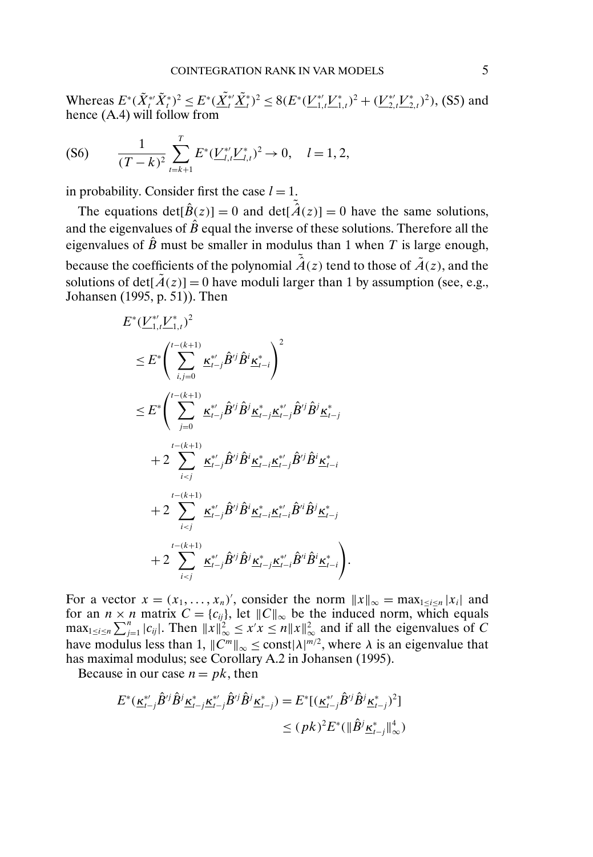Whereas  $E^*(\tilde{X}_t^*\tilde{X}_t^*)^2 \leq E^*(\underline{X}_t^*\tilde{X}_t^*)^2 \leq 8(E^*(\underline{V}_{1,t}^*\underline{V}_{1,t}^*)^2 + (\underline{V}_{2,t}^*\underline{V}_{2,t}^*)^2)$ , (S5) and hence (A.4) will follow from

$$
(S6) \qquad \frac{1}{(T-k)^2} \sum_{t=k+1}^T E^*(\underline{V}_{l,t}^* \underline{V}_{l,t}^*)^2 \to 0, \quad l=1,2,
$$

in probability. Consider first the case  $l = 1$ .

The equations  $det[\hat{B}(z)] = 0$  and  $det[\tilde{A}(z)] = 0$  have the same solutions, and the eigenvalues of  $\hat{B}$  equal the inverse of these solutions. Therefore all the eigenvalues of  $\hat{B}$  must be smaller in modulus than 1 when T is large enough, because the coefficients of the polynomial  $\tilde{A}(z)$  tend to those of  $\tilde{A}(z)$ , and the solutions of det $[\tilde{A}(z)] = 0$  have moduli larger than 1 by assumption (see, e.g., Johansen (1995, p. 51)). Then

$$
E^*(\underbrace{V_{1,I}^*V_{1,I}^*})^2
$$
\n
$$
\leq E^*\left(\sum_{i,j=0}^{t-(k+1)}\underline{\kappa}_{i-j}^*\hat{B}^{ij}\hat{B}^i\underline{\kappa}_{i-i}^*\right)^2
$$
\n
$$
\leq E^*\left(\sum_{j=0}^{t-(k+1)}\underline{\kappa}_{i-j}^*\hat{B}^{ij}\hat{B}^j\underline{\kappa}_{i-j}^*\underline{\kappa}_{i-j}^{*\prime}\hat{B}^{ij}\hat{B}^j\underline{\kappa}_{i-j}^*
$$
\n
$$
+2\sum_{i\n
$$
+2\sum_{i\n
$$
+2\sum_{i
$$
$$
$$

For a vector  $x = (x_1, \ldots, x_n)'$ , consider the norm  $||x||_{\infty} = \max_{1 \le i \le n} |x_i|$  and for an  $n \times n$  matrix  $C = \{c_{ij}\}\$ , let  $||C||_{\infty}$  be the induced norm, which equals  $\max_{1 \leq i \leq n} \sum_{j=1}^n |c_{ij}|$ . Then  $||x||_{\infty}^2 \leq x'x \leq n||x||_{\infty}^2$  and if all the eigenvalues of C have modulus less than 1,  $||C^m||_{\infty} \leq \text{const} |\lambda|^{m/2}$ , where  $\lambda$  is an eigenvalue that has maximal modulus; see Corollary A.2 in Johansen (1995).

Because in our case  $n = pk$ , then

$$
E^*(\underline{\kappa}_{t-j}^* \hat{B}^{ij} \hat{B}^j \underline{\kappa}_{t-j}^* \underline{\kappa}_{t-j}^* \hat{B}^{ij} \hat{B}^j \underline{\kappa}_{t-j}^* ) = E^* [(\underline{\kappa}_{t-j}^* \hat{B}^{ij} \hat{B}^j \underline{\kappa}_{t-j}^* )^2]
$$
  

$$
\leq (p k)^2 E^* (\|\hat{B}^j \underline{\kappa}_{t-j}^* \|_{\infty}^4)
$$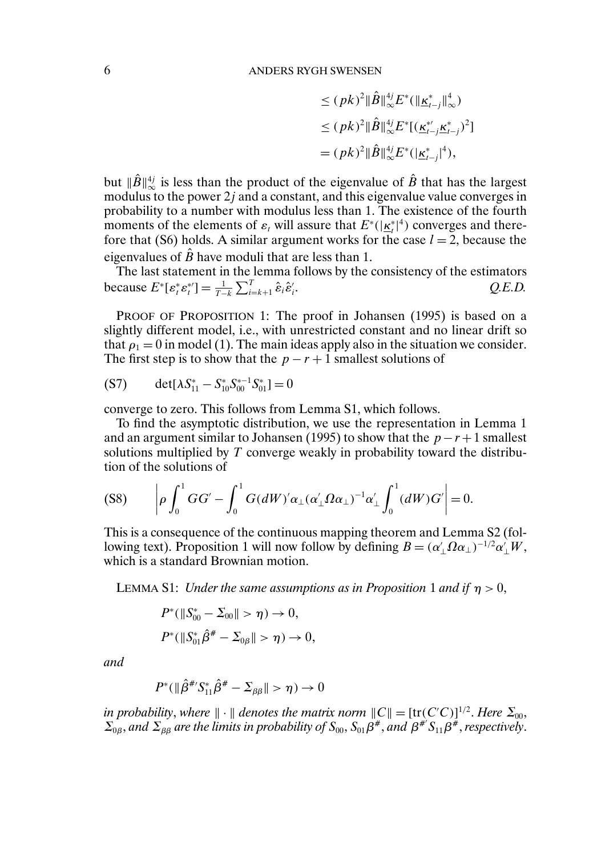$$
\leq (pk)^2 \|\hat{B}\|_{\infty}^{4j} E^*(\|\underline{\kappa}_{t-j}^*\|_{\infty}^4)
$$
  

$$
\leq (pk)^2 \|\hat{B}\|_{\infty}^{4j} E^*[(\underline{\kappa}_{t-j}^*\underline{\kappa}_{t-j}^*)^2]
$$
  

$$
=(pk)^2 \|\hat{B}\|_{\infty}^{4j} E^*(\|\underline{\kappa}_{t-j}^*)^4),
$$

but  $\|\hat{B}\|^{4j}_{\infty}$  is less than the product of the eigenvalue of  $\hat{B}$  that has the largest modulus to the power 2j and a constant, and this eigenvalue value converges in probability to a number with modulus less than 1. The existence of the fourth moments of the elements of  $\varepsilon_t$  will assure that  $E^*(\vert \underline{\kappa_t^*} \vert^4)$  converges and therefore that (S6) holds. A similar argument works for the case  $l = 2$ , because the eigenvalues of  $\hat{B}$  have moduli that are less than 1.

The last statement in the lemma follows by the consistency of the estimators because  $E^* [ \varepsilon_t^* \varepsilon_t^{*'} ] = \frac{1}{T-k} \sum_{i=k+1}^T \hat{\varepsilon}_i \hat{\varepsilon}_i'$ . *Q.E.D.*

PROOF OF PROPOSITION 1: The proof in Johansen (1995) is based on a slightly different model, i.e., with unrestricted constant and no linear drift so that  $\rho_1 = 0$  in model (1). The main ideas apply also in the situation we consider. The first step is to show that the  $p - r + 1$  smallest solutions of

(S7) 
$$
\det[\lambda S_{11}^* - S_{10}^* S_{00}^{*-1} S_{01}^*] = 0
$$

converge to zero. This follows from Lemma S1, which follows.

To find the asymptotic distribution, we use the representation in Lemma 1 and an argument similar to Johansen (1995) to show that the  $p-r+1$  smallest solutions multiplied by T converge weakly in probability toward the distribution of the solutions of

$$
(S8) \qquad \left|\rho \int_0^1 GG' - \int_0^1 G(dW)' \alpha_\perp (\alpha'_\perp \Omega \alpha_\perp)^{-1} \alpha'_\perp \int_0^1 (dW) G'\right| = 0.
$$

This is a consequence of the continuous mapping theorem and Lemma S2 (following text). Proposition 1 will now follow by defining  $B = (\alpha'_\perp \Omega \alpha_\perp)^{-1/2} \alpha'_\perp W$ , which is a standard Brownian motion.

LEMMA S1: *Under the same assumptions as in Proposition* 1 *and if*  $\eta > 0$ ,

$$
P^*(\|S_{00}^* - \Sigma_{00}\| > \eta) \to 0,
$$
  

$$
P^*(\|S_{01}^*\hat{\beta}^* - \Sigma_{0\beta}\| > \eta) \to 0,
$$

*and*

$$
P^*(\|\hat{\beta}^{\#'}S_{11}^*\hat{\beta}^{\#} - \Sigma_{\beta\beta}\| > \eta) \to 0
$$

in probability, where  $\|\cdot\|$  denotes the matrix norm  $\|C\| = [\text{tr}(C'C)]^{1/2}$ . Here  $\Sigma_{00}$ ,  $\Sigma_{0\beta}$ , and  $\Sigma_{\beta\beta}$  are the limits in probability of  $S_{00}$ ,  $S_{01}\beta^{\#}$ , and  $\beta^{\#}S_{11}\beta^{\#}$ , respectively.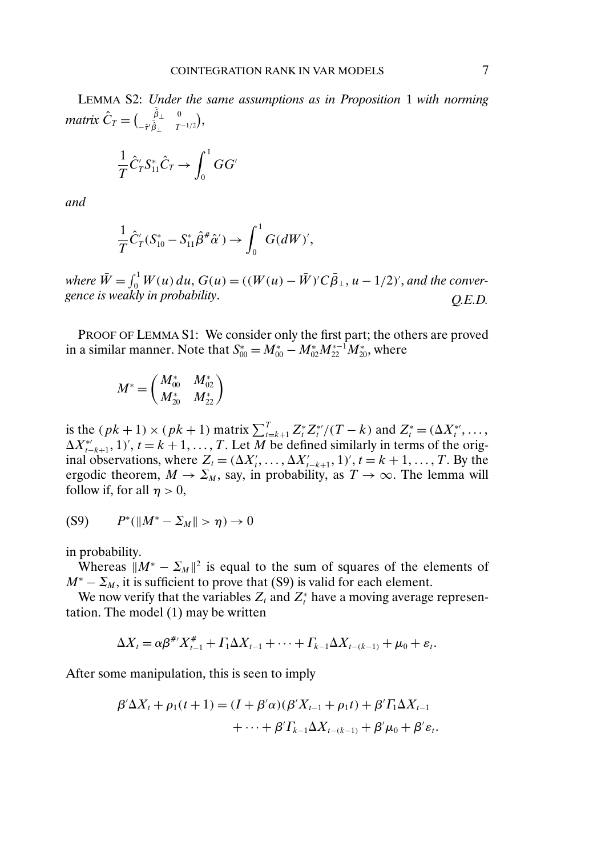$$
\frac{1}{T}\hat{C}^{\prime}_T S^*_{11}\hat{C}_T \rightarrow \int_0^1 GG^{\prime}
$$

*and*

$$
\frac{1}{T}\hat{C}'_T(S^*_{10} - S^*_{11}\hat{\beta}^{\#}\hat{\alpha}') \to \int_0^1 G(dW)',
$$

*where*  $\bar{W} = \int_0^1 W(u) \, du$ ,  $G(u) = ((W(u) - \bar{W})'C \bar{\beta}_{\perp}, u - 1/2)'$ , and the conver*gence is weakly in probability*. *Q.E.D.*

PROOF OF LEMMA S1: We consider only the first part; the others are proved in a similar manner. Note that  $S_{00}^* = M_{00}^* - M_{02}^* M_{22}^{*-1} M_{20}^*$ , where

$$
M^* = \begin{pmatrix} M^*_{00} & M^*_{02} \\ M^*_{20} & M^*_{22} \end{pmatrix}
$$

is the  $(pk + 1) \times (pk + 1)$  matrix  $\sum_{t=k+1}^{T} Z_t^* Z_t^* / (T - k)$  and  $Z_t^* = (\Delta X_t^*, \dots,$  $\Delta X_{t-k+1}^*$ , 1)',  $t = k+1, \ldots, T$ . Let M be defined similarly in terms of the original observations, where  $Z_t = (\Delta X'_t, \dots, \Delta X'_{t-k+1}, 1)$ ',  $t = k+1, \dots, T$ . By the ergodic theorem,  $M \to \Sigma_M$ , say, in probability, as  $T \to \infty$ . The lemma will follow if, for all  $\eta > 0$ ,

(S9) 
$$
P^*(||M^* - \Sigma_M|| > \eta) \to 0
$$

in probability.

Whereas  $||M^* - \Sigma_M||^2$  is equal to the sum of squares of the elements of  $M^* - \Sigma_M$ , it is sufficient to prove that (S9) is valid for each element.

We now verify that the variables  $Z_t$  and  $Z_t^*$  have a moving average representation. The model (1) may be written

$$
\Delta X_t = \alpha \beta^{\#'} X_{t-1}^{\#} + \Gamma_1 \Delta X_{t-1} + \cdots + \Gamma_{k-1} \Delta X_{t-(k-1)} + \mu_0 + \varepsilon_t.
$$

After some manipulation, this is seen to imply

$$
\beta'\Delta X_t + \rho_1(t+1) = (I + \beta'\alpha)(\beta'X_{t-1} + \rho_1t) + \beta'T_1\Delta X_{t-1} + \cdots + \beta'T_{k-1}\Delta X_{t-(k-1)} + \beta'\mu_0 + \beta'\varepsilon_t.
$$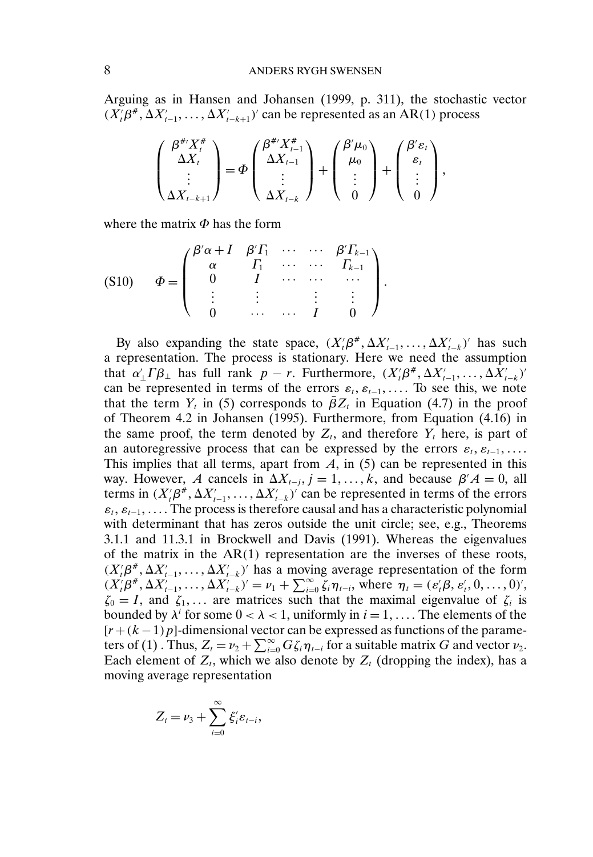## 8 ANDERS RYGH SWENSEN

Arguing as in Hansen and Johansen (1999, p. 311), the stochastic vector  $(X_t'\beta^*, \Delta X_{t-1}', \ldots, \Delta X_{t-k+1}')'$  can be represented as an AR(1) process

$$
\begin{pmatrix} \beta^{\#'} X_t^{\#} \\ \Delta X_t \\ \vdots \\ \Delta X_{t-k+1} \end{pmatrix} = \Phi \begin{pmatrix} \beta^{\#'} X_{t-1}^{\#} \\ \Delta X_{t-1} \\ \vdots \\ \Delta X_{t-k} \end{pmatrix} + \begin{pmatrix} \beta' \mu_0 \\ \mu_0 \\ \vdots \\ 0 \end{pmatrix} + \begin{pmatrix} \beta' \varepsilon_t \\ \varepsilon_t \\ \vdots \\ 0 \end{pmatrix},
$$

where the matrix  $\Phi$  has the form

$$
(S10) \quad \Phi = \begin{pmatrix} \beta' \alpha + I & \beta' \Gamma_1 & \cdots & \cdots & \beta' \Gamma_{k-1} \\ \alpha & \Gamma_1 & \cdots & \cdots & \Gamma_{k-1} \\ 0 & I & \cdots & \cdots & \cdots \\ \vdots & \vdots & \ddots & \vdots & \vdots \\ 0 & \cdots & \cdots & I & 0 \end{pmatrix}.
$$

By also expanding the state space,  $(X_t'\beta^*, \Delta X_{t-1}', \ldots, \Delta X_{t-k}')'$  has such a representation. The process is stationary. Here we need the assumption that  $\alpha'_{\perp} \Gamma \beta_{\perp}$  has full rank  $p - r$ . Furthermore,  $(X'_{i} \beta^{\#}, \Delta X'_{t-1}, \ldots, \Delta X'_{t-k})'$ can be represented in terms of the errors  $\varepsilon_t$ ,  $\varepsilon_{t-1}$ , ... To see this, we note that the term  $Y_t$  in (5) corresponds to  $\bar{\beta}Z_t$  in Equation (4.7) in the proof of Theorem 4.2 in Johansen (1995). Furthermore, from Equation (4.16) in the same proof, the term denoted by  $Z_t$ , and therefore  $Y_t$  here, is part of an autoregressive process that can be expressed by the errors  $\varepsilon_t, \varepsilon_{t-1}, \ldots$ This implies that all terms, apart from  $A$ , in (5) can be represented in this way. However, A cancels in  $\Delta X_{t-j}$ ,  $j = 1, ..., k$ , and because  $\beta' A = 0$ , all terms in  $(X_t'\beta^*, \Delta X_{t-1}', \dots, \Delta X_{t-k}')'$  can be represented in terms of the errors  $\varepsilon_t, \varepsilon_{t-1}, \ldots$  The process is therefore causal and has a characteristic polynomial with determinant that has zeros outside the unit circle; see, e.g., Theorems 3.1.1 and 11.3.1 in Brockwell and Davis (1991). Whereas the eigenvalues of the matrix in the  $AR(1)$  representation are the inverses of these roots,  $(X_t'\beta^*, \Delta X_{t-1}', \ldots, \Delta X_{t-k}')'$  has a moving average representation of the form  $(X'_{t}\beta^{\#}, \Delta X'_{t-1}, \ldots, \Delta X'_{t-k})' = \nu_{1} + \sum_{i=0}^{\infty} \zeta_{i} \eta_{t-i}$ , where  $\eta_{t} = (\varepsilon'_{t}\beta, \varepsilon'_{t}, 0, \ldots, 0)'$ ,  $\zeta_0 = I$ , and  $\zeta_1, \ldots$  are matrices such that the maximal eigenvalue of  $\zeta_i$  is bounded by  $\lambda^i$  for some  $0 < \lambda < 1$ , uniformly in  $i = 1, \ldots$  The elements of the  $[r + (k-1)p]$ -dimensional vector can be expressed as functions of the parameters of (1). Thus,  $Z_t = \nu_2 + \sum_{i=0}^{\infty} G \zeta_i \eta_{t-i}$  for a suitable matrix G and vector  $\nu_2$ . Each element of  $Z_t$ , which we also denote by  $Z_t$  (dropping the index), has a moving average representation

$$
Z_t = \nu_3 + \sum_{i=0}^{\infty} \xi_i^{\prime} \varepsilon_{t-i},
$$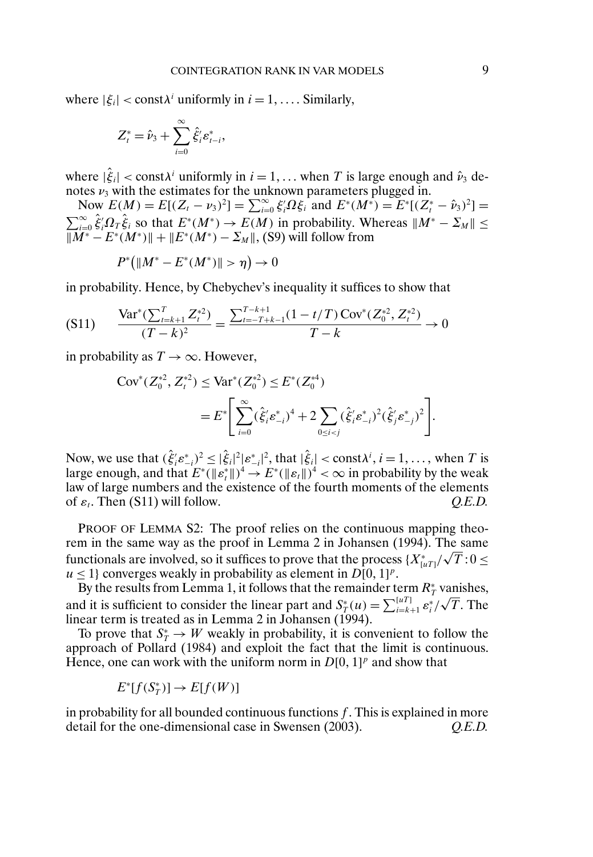where  $|\xi_i| < \text{const} \lambda^i$  uniformly in  $i = 1, \ldots$  Similarly,

$$
Z_t^* = \hat{\nu}_3 + \sum_{i=0}^{\infty} \hat{\xi}_i^{\prime} \varepsilon_{t-i}^*,
$$

where  $|\hat{\xi}_i| < \text{const} \lambda^i$  uniformly in  $i = 1, \dots$  when T is large enough and  $\hat{\nu}_3$  denotes  $\nu_3$  with the estimates for the unknown parameters plugged in.

Now  $E(M) = E[(Z_t - \nu_3)^2] = \sum_{i=0}^{\infty} \xi_i^i \Omega \xi_i^2$  and  $E^*(M^*) = E^*[(Z_t^* - \hat{\nu}_3)^2] =$  $\sum_{i=0}^{\infty} \hat{\xi}'_i \Omega_T \hat{\xi}_i$  so that  $E^*(M^*) \to E(M)$  in probability. Whereas  $||M^* - \Sigma_M|| \le$  $\|\overline{M^*} - E^*(M^*)\| + \|E^*(M^*) - \Sigma_M\|$ , (S9) will follow from

$$
P^*(||M^* - E^*(M^*)|| > \eta) \to 0
$$

in probability. Hence, by Chebychev's inequality it suffices to show that

$$
(S11) \qquad \frac{\text{Var}^*(\sum_{t=k+1}^T Z_t^{*2})}{(T-k)^2} = \frac{\sum_{t=-T+k-1}^{T-k+1} (1-t/T) \text{Cov}^*(Z_0^{*2}, Z_t^{*2})}{T-k} \to 0
$$

in probability as  $T \to \infty$ . However,

$$
\begin{split} \text{Cov}^*(Z_0^{*2}, Z_t^{*2}) &\leq \text{Var}^*(Z_0^{*2}) \leq E^*(Z_0^{*4}) \\ &= E^* \Bigg[ \sum_{i=0}^\infty (\hat{\xi}_i' \hat{\varepsilon}_{-i}^*)^4 + 2 \sum_{0 \leq i < j} (\hat{\xi}_i' \hat{\varepsilon}_{-i}^*)^2 (\hat{\xi}_j' \hat{\varepsilon}_{-j}^*)^2 \Bigg]. \end{split}
$$

Now, we use that  $(\hat{\xi}_i' \varepsilon_{-i}^*)^2 \leq |\hat{\xi}_i|^2 |\varepsilon_{-i}^*|^2$ , that  $|\hat{\xi}_i| < \text{const} \lambda^i$ ,  $i = 1, ...,$  when T is large enough, and that  $E^*(\|\varepsilon_t^*\|)^4 \to E^*(\|\varepsilon_t\|)^4 < \infty$  in probability by the weak law of large numbers and the existence of the fourth moments of the elements of  $\varepsilon_t$ . Then (S11) will follow.  $Q.E.D.$ 

PROOF OF LEMMA S2: The proof relies on the continuous mapping theorem in the same way as the proof in Lemma 2 in Johansen (1994). The same functionals are involved, so it suffices to prove that the process  $\{X_{[uT]}^*\/\sqrt{T}\colon\! 0\leq\,$  $u \leq 1$  converges weakly in probability as element in  $D[0, 1]^p$ .

By the results from Lemma 1, it follows that the remainder term  $R^*_T$  vanishes, and it is sufficient to consider the linear part and  $S_T^*(u) = \sum_{i=k+1}^{[u]} \varepsilon_i^*$ √ T. The linear term is treated as in Lemma 2 in Johansen (1994).

To prove that  $S^*_T \to W$  weakly in probability, it is convenient to follow the approach of Pollard (1984) and exploit the fact that the limit is continuous. Hence, one can work with the uniform norm in  $D[0, 1]^p$  and show that

$$
E^*[f(S_T^*)] \to E[f(W)]
$$

in probability for all bounded continuous functions  $f$ . This is explained in more detail for the one-dimensional case in Swensen (2003). *Q.E.D.*